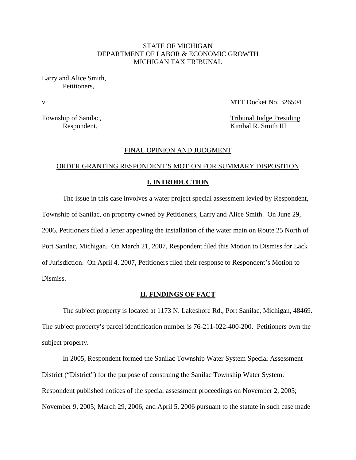# STATE OF MICHIGAN DEPARTMENT OF LABOR & ECONOMIC GROWTH MICHIGAN TAX TRIBUNAL

Larry and Alice Smith, Petitioners,

v MTT Docket No. 326504

Township of Sanilac, Township of Sanilac, Respondent. Kimbal R. Smith III

## FINAL OPINION AND JUDGMENT

# ORDER GRANTING RESPONDENT'S MOTION FOR SUMMARY DISPOSITION

## **I. INTRODUCTION**

The issue in this case involves a water project special assessment levied by Respondent, Township of Sanilac, on property owned by Petitioners, Larry and Alice Smith. On June 29, 2006, Petitioners filed a letter appealing the installation of the water main on Route 25 North of Port Sanilac, Michigan. On March 21, 2007, Respondent filed this Motion to Dismiss for Lack of Jurisdiction. On April 4, 2007, Petitioners filed their response to Respondent's Motion to Dismiss.

## **II. FINDINGS OF FACT**

The subject property is located at 1173 N. Lakeshore Rd., Port Sanilac, Michigan, 48469. The subject property's parcel identification number is 76-211-022-400-200. Petitioners own the subject property.

In 2005, Respondent formed the Sanilac Township Water System Special Assessment District ("District") for the purpose of construing the Sanilac Township Water System. Respondent published notices of the special assessment proceedings on November 2, 2005; November 9, 2005; March 29, 2006; and April 5, 2006 pursuant to the statute in such case made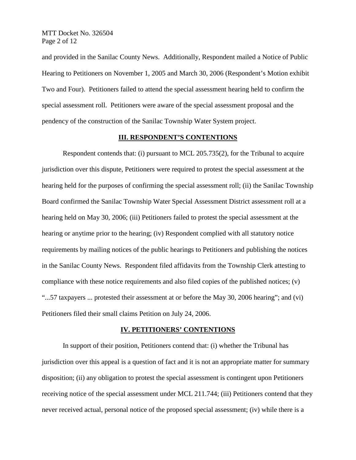MTT Docket No. 326504 Page 2 of 12

and provided in the Sanilac County News. Additionally, Respondent mailed a Notice of Public Hearing to Petitioners on November 1, 2005 and March 30, 2006 (Respondent's Motion exhibit Two and Four). Petitioners failed to attend the special assessment hearing held to confirm the special assessment roll. Petitioners were aware of the special assessment proposal and the pendency of the construction of the Sanilac Township Water System project.

## **III. RESPONDENT'S CONTENTIONS**

Respondent contends that: (i) pursuant to MCL 205.735(2), for the Tribunal to acquire jurisdiction over this dispute, Petitioners were required to protest the special assessment at the hearing held for the purposes of confirming the special assessment roll; (ii) the Sanilac Township Board confirmed the Sanilac Township Water Special Assessment District assessment roll at a hearing held on May 30, 2006; (iii) Petitioners failed to protest the special assessment at the hearing or anytime prior to the hearing; (iv) Respondent complied with all statutory notice requirements by mailing notices of the public hearings to Petitioners and publishing the notices in the Sanilac County News. Respondent filed affidavits from the Township Clerk attesting to compliance with these notice requirements and also filed copies of the published notices; (v) "...57 taxpayers ... protested their assessment at or before the May 30, 2006 hearing"; and (vi) Petitioners filed their small claims Petition on July 24, 2006.

#### **IV. PETITIONERS' CONTENTIONS**

In support of their position, Petitioners contend that: (i) whether the Tribunal has jurisdiction over this appeal is a question of fact and it is not an appropriate matter for summary disposition; (ii) any obligation to protest the special assessment is contingent upon Petitioners receiving notice of the special assessment under MCL 211.744; (iii) Petitioners contend that they never received actual, personal notice of the proposed special assessment; (iv) while there is a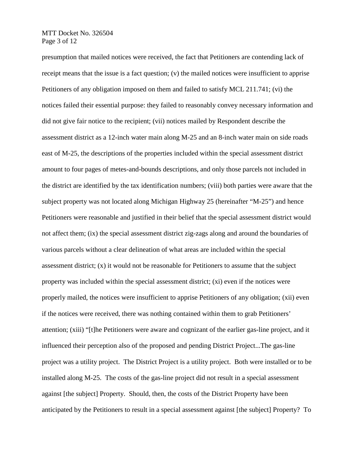MTT Docket No. 326504 Page 3 of 12

presumption that mailed notices were received, the fact that Petitioners are contending lack of receipt means that the issue is a fact question; (v) the mailed notices were insufficient to apprise Petitioners of any obligation imposed on them and failed to satisfy MCL 211.741; (vi) the notices failed their essential purpose: they failed to reasonably convey necessary information and did not give fair notice to the recipient; (vii) notices mailed by Respondent describe the assessment district as a 12-inch water main along M-25 and an 8-inch water main on side roads east of M-25, the descriptions of the properties included within the special assessment district amount to four pages of metes-and-bounds descriptions, and only those parcels not included in the district are identified by the tax identification numbers; (viii) both parties were aware that the subject property was not located along Michigan Highway 25 (hereinafter "M-25") and hence Petitioners were reasonable and justified in their belief that the special assessment district would not affect them; (ix) the special assessment district zig-zags along and around the boundaries of various parcels without a clear delineation of what areas are included within the special assessment district; (x) it would not be reasonable for Petitioners to assume that the subject property was included within the special assessment district; (xi) even if the notices were properly mailed, the notices were insufficient to apprise Petitioners of any obligation; (xii) even if the notices were received, there was nothing contained within them to grab Petitioners' attention; (xiii) "[t]he Petitioners were aware and cognizant of the earlier gas-line project, and it influenced their perception also of the proposed and pending District Project...The gas-line project was a utility project. The District Project is a utility project. Both were installed or to be installed along M-25. The costs of the gas-line project did not result in a special assessment against [the subject] Property. Should, then, the costs of the District Property have been anticipated by the Petitioners to result in a special assessment against [the subject] Property? To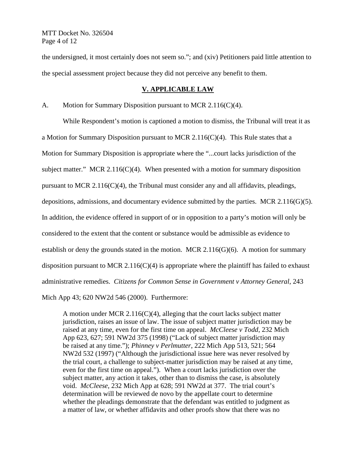MTT Docket No. 326504 Page 4 of 12

the undersigned, it most certainly does not seem so."; and (xiv) Petitioners paid little attention to the special assessment project because they did not perceive any benefit to them.

## **V. APPLICABLE LAW**

A. Motion for Summary Disposition pursuant to MCR 2.116(C)(4).

While Respondent's motion is captioned a motion to dismiss, the Tribunal will treat it as a Motion for Summary Disposition pursuant to MCR 2.116(C)(4). This Rule states that a Motion for Summary Disposition is appropriate where the "...court lacks jurisdiction of the subject matter." MCR 2.116(C)(4). When presented with a motion for summary disposition pursuant to MCR 2.116(C)(4), the Tribunal must consider any and all affidavits, pleadings, depositions, admissions, and documentary evidence submitted by the parties. MCR 2.116(G)(5). In addition, the evidence offered in support of or in opposition to a party's motion will only be considered to the extent that the content or substance would be admissible as evidence to establish or deny the grounds stated in the motion. MCR  $2.116(G)(6)$ . A motion for summary disposition pursuant to MCR 2.116(C)(4) is appropriate where the plaintiff has failed to exhaust administrative remedies. *Citizens for Common Sense in Government v Attorney General*, 243 Mich App 43; 620 NW2d 546 (2000). Furthermore:

A motion under MCR 2.116(C)(4), alleging that the court lacks subject matter jurisdiction, raises an issue of law. The issue of subject matter jurisdiction may be raised at any time, even for the first time on appeal. *McCleese v Todd*, 232 Mich App 623, 627; 591 NW2d 375 (1998) ("Lack of subject matter jurisdiction may be raised at any time."); *Phinney v Perlmutter*, 222 Mich App 513, 521; 564 NW2d 532 (1997) ("Although the jurisdictional issue here was never resolved by the trial court, a challenge to subject-matter jurisdiction may be raised at any time, even for the first time on appeal."). When a court lacks jurisdiction over the subject matter, any action it takes, other than to dismiss the case, is absolutely void. *McCleese*, 232 Mich App at 628; 591 NW2d at 377. The trial court's determination will be reviewed de novo by the appellate court to determine whether the pleadings demonstrate that the defendant was entitled to judgment as a matter of law, or whether affidavits and other proofs show that there was no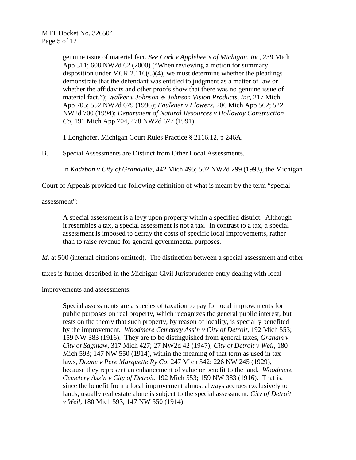genuine issue of material fact. *See Cork v Applebee's of Michigan*, *Inc*, 239 Mich App 311; 608 NW2d 62 (2000) ("When reviewing a motion for summary disposition under MCR 2.116(C)(4), we must determine whether the pleadings demonstrate that the defendant was entitled to judgment as a matter of law or whether the affidavits and other proofs show that there was no genuine issue of material fact."); *Walker v Johnson & Johnson Vision Products*, *Inc*, 217 Mich App 705; 552 NW2d 679 (1996); *Faulkner v Flowers*, 206 Mich App 562; 522 NW2d 700 (1994); *Department of Natural Resources v Holloway Construction Co*, 191 Mich App 704, 478 NW2d 677 (1991).

1 Longhofer, Michigan Court Rules Practice § 2116.12, p 246A.

B. Special Assessments are Distinct from Other Local Assessments.

In *Kadzban v City of Grandville*, 442 Mich 495; 502 NW2d 299 (1993), the Michigan

Court of Appeals provided the following definition of what is meant by the term "special

assessment":

A special assessment is a levy upon property within a specified district. Although it resembles a tax, a special assessment is not a tax. In contrast to a tax, a special assessment is imposed to defray the costs of specific local improvements, rather than to raise revenue for general governmental purposes.

*Id.* at 500 (internal citations omitted). The distinction between a special assessment and other

taxes is further described in the Michigan Civil Jurisprudence entry dealing with local

improvements and assessments.

Special assessments are a species of taxation to pay for local improvements for public purposes on real property, which recognizes the general public interest, but rests on the theory that such property, by reason of locality, is specially benefited by the improvement. *Woodmere Cemetery Ass'n v City of Detroit*, 192 Mich 553; 159 NW 383 (1916). They are to be distinguished from general taxes, *Graham v City of Saginaw*, 317 Mich 427; 27 NW2d 42 (1947); *City of Detroit v Weil*, 180 Mich 593; 147 NW 550 (1914), within the meaning of that term as used in tax laws, *Doane v Pere Marquette Ry Co*, 247 Mich 542; 226 NW 245 (1929), because they represent an enhancement of value or benefit to the land. *Woodmere Cemetery Ass'n v City of Detroit*, 192 Mich 553; 159 NW 383 (1916). That is, since the benefit from a local improvement almost always accrues exclusively to lands, usually real estate alone is subject to the special assessment. *City of Detroit v Weil*, 180 Mich 593; 147 NW 550 (1914).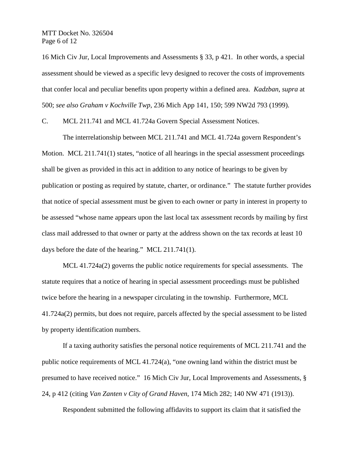MTT Docket No. 326504 Page 6 of 12

16 Mich Civ Jur, Local Improvements and Assessments § 33, p 421. In other words, a special assessment should be viewed as a specific levy designed to recover the costs of improvements that confer local and peculiar benefits upon property within a defined area. *Kadzban*, *supra* at 500; *see also Graham v Kochville Twp*, 236 Mich App 141, 150; 599 NW2d 793 (1999).

C. MCL 211.741 and MCL 41.724a Govern Special Assessment Notices.

The interrelationship between MCL 211.741 and MCL 41.724a govern Respondent's Motion. MCL 211.741(1) states, "notice of all hearings in the special assessment proceedings shall be given as provided in this act in addition to any notice of hearings to be given by publication or posting as required by statute, charter, or ordinance." The statute further provides that notice of special assessment must be given to each owner or party in interest in property to be assessed "whose name appears upon the last local tax assessment records by mailing by first class mail addressed to that owner or party at the address shown on the tax records at least 10 days before the date of the hearing." MCL 211.741(1).

MCL 41.724a(2) governs the public notice requirements for special assessments. The statute requires that a notice of hearing in special assessment proceedings must be published twice before the hearing in a newspaper circulating in the township. Furthermore, MCL 41.724a(2) permits, but does not require, parcels affected by the special assessment to be listed by property identification numbers.

If a taxing authority satisfies the personal notice requirements of MCL 211.741 and the public notice requirements of MCL 41.724(a), "one owning land within the district must be presumed to have received notice." 16 Mich Civ Jur, Local Improvements and Assessments, § 24, p 412 (citing *Van Zanten v City of Grand Haven*, 174 Mich 282; 140 NW 471 (1913)).

Respondent submitted the following affidavits to support its claim that it satisfied the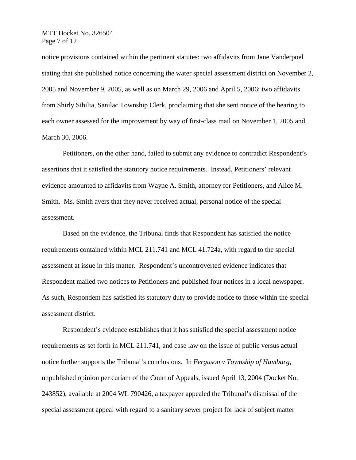MTT Docket No. 326504 Page 7 of 12

notice provisions contained within the pertinent statutes: two affidavits from Jane Vanderpoel stating that she published notice concerning the water special assessment district on November 2, 2005 and November 9, 2005, as well as on March 29, 2006 and April 5, 2006; two affidavits from Shirly Sibilia, Sanilac Township Clerk, proclaiming that she sent notice of the hearing to each owner assessed for the improvement by way of first-class mail on November 1, 2005 and March 30, 2006.

Petitioners, on the other hand, failed to submit any evidence to contradict Respondent's assertions that it satisfied the statutory notice requirements. Instead, Petitioners' relevant evidence amounted to affidavits from Wayne A. Smith, attorney for Petitioners, and Alice M. Smith. Ms. Smith avers that they never received actual, personal notice of the special assessment.

Based on the evidence, the Tribunal finds that Respondent has satisfied the notice requirements contained within MCL 211.741 and MCL 41.724a, with regard to the special assessment at issue in this matter. Respondent's uncontroverted evidence indicates that Respondent mailed two notices to Petitioners and published four notices in a local newspaper. As such, Respondent has satisfied its statutory duty to provide notice to those within the special assessment district.

Respondent's evidence establishes that it has satisfied the special assessment notice requirements as set forth in MCL 211.741, and case law on the issue of public versus actual notice further supports the Tribunal's conclusions. In *Ferguson v Township of Hamburg*, unpublished opinion per curiam of the Court of Appeals, issued April 13, 2004 (Docket No. 243852), available at 2004 WL 790426, a taxpayer appealed the Tribunal's dismissal of the special assessment appeal with regard to a sanitary sewer project for lack of subject matter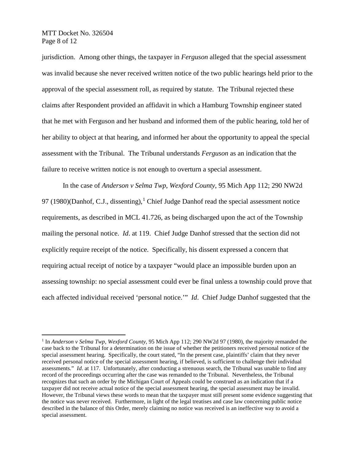MTT Docket No. 326504 Page 8 of 12

jurisdiction. Among other things, the taxpayer in *Ferguson* alleged that the special assessment was invalid because she never received written notice of the two public hearings held prior to the approval of the special assessment roll, as required by statute. The Tribunal rejected these claims after Respondent provided an affidavit in which a Hamburg Township engineer stated that he met with Ferguson and her husband and informed them of the public hearing, told her of her ability to object at that hearing, and informed her about the opportunity to appeal the special assessment with the Tribunal. The Tribunal understands *Ferguson* as an indication that the failure to receive written notice is not enough to overturn a special assessment.

In the case of *Anderson v Selma Twp*, *Wexford County*, 95 Mich App 112; 290 NW2d 97 ([1](#page-7-0)980)(Danhof, C.J., dissenting),<sup>1</sup> Chief Judge Danhof read the special assessment notice requirements, as described in MCL 41.726, as being discharged upon the act of the Township mailing the personal notice. *Id*. at 119. Chief Judge Danhof stressed that the section did not explicitly require receipt of the notice. Specifically, his dissent expressed a concern that requiring actual receipt of notice by a taxpayer "would place an impossible burden upon an assessing township: no special assessment could ever be final unless a township could prove that each affected individual received 'personal notice.'" *Id*. Chief Judge Danhof suggested that the

<span id="page-7-0"></span> <sup>1</sup> In *Anderson v Selma Twp*, *Wexford County*, 95 Mich App 112; 290 NW2d 97 (1980), the majority remanded the case back to the Tribunal for a determination on the issue of whether the petitioners received personal notice of the special assessment hearing. Specifically, the court stated, "In the present case, plaintiffs' claim that they never received personal notice of the special assessment hearing, if believed, is sufficient to challenge their individual assessments." *Id*. at 117. Unfortunately, after conducting a strenuous search, the Tribunal was unable to find any record of the proceedings occurring after the case was remanded to the Tribunal. Nevertheless, the Tribunal recognizes that such an order by the Michigan Court of Appeals could be construed as an indication that if a taxpayer did not receive actual notice of the special assessment hearing, the special assessment may be invalid. However, the Tribunal views these words to mean that the taxpayer must still present some evidence suggesting that the notice was never received. Furthermore, in light of the legal treatises and case law concerning public notice described in the balance of this Order, merely claiming no notice was received is an ineffective way to avoid a special assessment.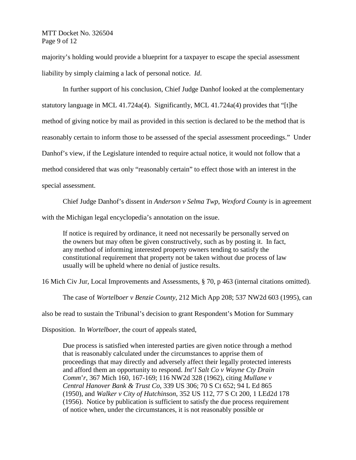# MTT Docket No. 326504 Page 9 of 12

majority's holding would provide a blueprint for a taxpayer to escape the special assessment liability by simply claiming a lack of personal notice. *Id*.

In further support of his conclusion, Chief Judge Danhof looked at the complementary statutory language in MCL 41.724a(4). Significantly, MCL 41.724a(4) provides that "[t]he method of giving notice by mail as provided in this section is declared to be the method that is reasonably certain to inform those to be assessed of the special assessment proceedings." Under Danhof's view, if the Legislature intended to require actual notice, it would not follow that a method considered that was only "reasonably certain" to effect those with an interest in the special assessment.

Chief Judge Danhof's dissent in *Anderson v Selma Twp*, *Wexford County* is in agreement with the Michigan legal encyclopedia's annotation on the issue.

If notice is required by ordinance, it need not necessarily be personally served on the owners but may often be given constructively, such as by posting it. In fact, any method of informing interested property owners tending to satisfy the constitutional requirement that property not be taken without due process of law usually will be upheld where no denial of justice results.

16 Mich Civ Jur, Local Improvements and Assessments, § 70, p 463 (internal citations omitted).

The case of *Wortelboer v Benzie County*, 212 Mich App 208; 537 NW2d 603 (1995), can

also be read to sustain the Tribunal's decision to grant Respondent's Motion for Summary

Disposition. In *Wortelboer*, the court of appeals stated,

Due process is satisfied when interested parties are given notice through a method that is reasonably calculated under the circumstances to apprise them of proceedings that may directly and adversely affect their legally protected interests and afford them an opportunity to respond. *Int*'*l Salt Co v Wayne Cty Drain Comm*'*r*, 367 Mich 160, 167-169; 116 NW2d 328 (1962), citing *Mullane v Central Hanover Bank & Trust Co*, 339 US 306; 70 S Ct 652; 94 L Ed 865 (1950), and *Walker v City of Hutchinson*, 352 US 112, 77 S Ct 200, 1 LEd2d 178 (1956). Notice by publication is sufficient to satisfy the due process requirement of notice when, under the circumstances, it is not reasonably possible or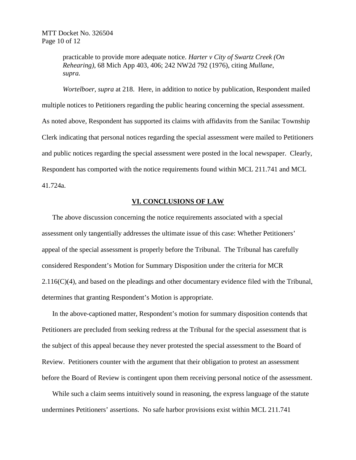practicable to provide more adequate notice. *Harter v City of Swartz Creek (On Rehearing)*, 68 Mich App 403, 406; 242 NW2d 792 (1976), citing *Mullane*, *supra.*

*Wortelboer*, *supra* at 218. Here, in addition to notice by publication, Respondent mailed multiple notices to Petitioners regarding the public hearing concerning the special assessment. As noted above, Respondent has supported its claims with affidavits from the Sanilac Township Clerk indicating that personal notices regarding the special assessment were mailed to Petitioners and public notices regarding the special assessment were posted in the local newspaper. Clearly, Respondent has comported with the notice requirements found within MCL 211.741 and MCL 41.724a.

# **VI. CONCLUSIONS OF LAW**

The above discussion concerning the notice requirements associated with a special assessment only tangentially addresses the ultimate issue of this case: Whether Petitioners' appeal of the special assessment is properly before the Tribunal. The Tribunal has carefully considered Respondent's Motion for Summary Disposition under the criteria for MCR  $2.116(C)(4)$ , and based on the pleadings and other documentary evidence filed with the Tribunal, determines that granting Respondent's Motion is appropriate.

In the above-captioned matter, Respondent's motion for summary disposition contends that Petitioners are precluded from seeking redress at the Tribunal for the special assessment that is the subject of this appeal because they never protested the special assessment to the Board of Review. Petitioners counter with the argument that their obligation to protest an assessment before the Board of Review is contingent upon them receiving personal notice of the assessment.

While such a claim seems intuitively sound in reasoning, the express language of the statute undermines Petitioners' assertions. No safe harbor provisions exist within MCL 211.741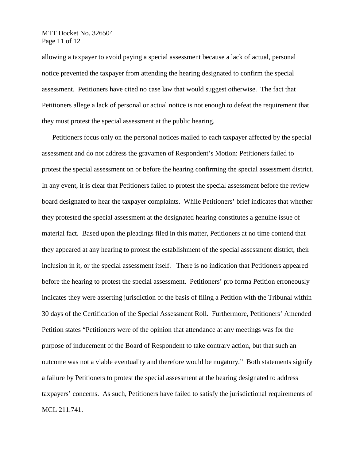MTT Docket No. 326504 Page 11 of 12

allowing a taxpayer to avoid paying a special assessment because a lack of actual, personal notice prevented the taxpayer from attending the hearing designated to confirm the special assessment. Petitioners have cited no case law that would suggest otherwise. The fact that Petitioners allege a lack of personal or actual notice is not enough to defeat the requirement that they must protest the special assessment at the public hearing.

Petitioners focus only on the personal notices mailed to each taxpayer affected by the special assessment and do not address the gravamen of Respondent's Motion: Petitioners failed to protest the special assessment on or before the hearing confirming the special assessment district. In any event, it is clear that Petitioners failed to protest the special assessment before the review board designated to hear the taxpayer complaints. While Petitioners' brief indicates that whether they protested the special assessment at the designated hearing constitutes a genuine issue of material fact. Based upon the pleadings filed in this matter, Petitioners at no time contend that they appeared at any hearing to protest the establishment of the special assessment district, their inclusion in it, or the special assessment itself. There is no indication that Petitioners appeared before the hearing to protest the special assessment. Petitioners' pro forma Petition erroneously indicates they were asserting jurisdiction of the basis of filing a Petition with the Tribunal within 30 days of the Certification of the Special Assessment Roll. Furthermore, Petitioners' Amended Petition states "Petitioners were of the opinion that attendance at any meetings was for the purpose of inducement of the Board of Respondent to take contrary action, but that such an outcome was not a viable eventuality and therefore would be nugatory." Both statements signify a failure by Petitioners to protest the special assessment at the hearing designated to address taxpayers' concerns. As such, Petitioners have failed to satisfy the jurisdictional requirements of MCL 211.741.